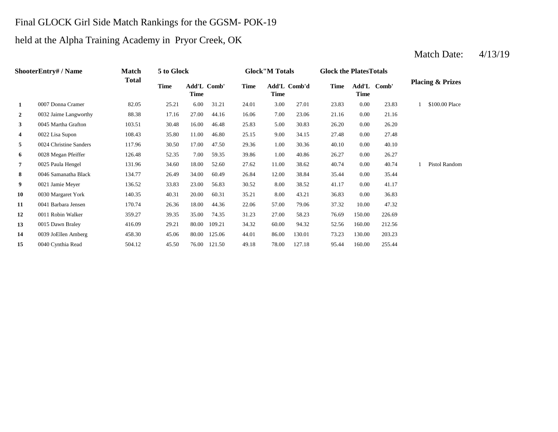### Final GLOCK Girl Side Match Rankings for the GGSM- POK-19

## held at the Alpha Training Academy in Pryor Creek, OK

#### **2** 0032 Jaime Langworthy 88.38 17.16 27.00 44.16 16.06 7.00 23.06 21.16 0.00 21.16 **3** 5.00 26.20 0045 Martha Grafton 103.51 30.48 16.00 46.48 25.83 **4** 0022 Lisa Supon 108.43 35.80 11.00 46.80 25.15 9.00 34.15 27.48 **5** 0024 Christine Sanders 117.96 30.50 17.00 47.50 29.36 1.00 30.36 40.10 0.00 **6** 0028 Megan Pfeiffer 126.48 52.35 7.00 59.35 39.86 1.00 40.86 26.27 0.00 26.27 **7** 0025 Paula Hengel 131.96 34.60 18.00 52.60 27.62 11.00 38.62 40.74 **8** 12.00 38.84 **81** 35.44 **134.77** 26.49 34.00 **60.49** 26.84 12.00 38.84 35.44 **9** 8.00 38.52 **136.52** 33.83 23.00 56.83 30.52 30.52 41.17 **10** 0030 Margaret York 140.35 40.31 20.00 60.31 35.21 8.00 43.21 36.83 **11** 57.00 170.74 26.36 18.00 27.06 57.00 79.06 37.32 10.00 **12** 0011 Robin Walker 359.27 39.35 35.00 74.35 31.23 27.00 58.23 76.69 150.00 226.69 **13** 0015 Dawn Braley 416.09 29.21 80.00 109.21 34.32 60.00 94.32 52.56 **14** 0039 JoEllen Amberg 458.30 45.06 80.00 125.06 44.01 86.00 130.01 73.23 **15** 0040 Cynthia Read 504.12 45.50 76.00 121.50 49.18 78.00 127.18 95.44 160.00 255.44 130.00 203.23 94.32 52.56 160.00 212.56 47.32 0.00 36.83 38.52 0.00 41.17 26.84 38.84 0.00 35.44 38.62 0.00 40.74 1 Pistol Random 40.10 0.00 27.48 30.83 0.00 26.20 \$100.00 Place 3.00 27.01 23.83 0.00 23.83 1 **Time Add'L Comb' Time 1** 0007 Donna Cramer 82.05 25.21 6.00 31.21 24.01 **Time Add'L Comb' Time Time Add'L Comb'd Time ShooterEntry# / Name Match Total 5 to Glock Time Glock"M Totals Glock the PlatesTotals Placing & Prizes**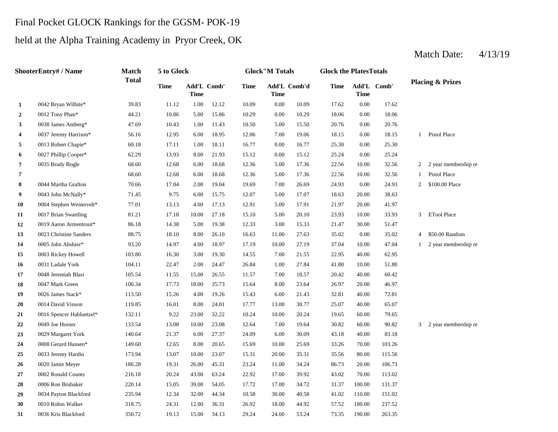# Final Pocket GLOCK Rankings for the GGSM- POK-19

# held at the Alpha Training Academy in Pryor Creek, OK

|                | ShooterEntry# / Name     | <b>Match</b> | 5 to Glock  |             |             |             | <b>Glock</b> "M Totals |              | <b>Glock the PlatesTotals</b> |                            |        |                |                             |
|----------------|--------------------------|--------------|-------------|-------------|-------------|-------------|------------------------|--------------|-------------------------------|----------------------------|--------|----------------|-----------------------------|
|                |                          | <b>Total</b> | <b>Time</b> | <b>Time</b> | Add'L Comb' | <b>Time</b> | <b>Time</b>            | Add'L Comb'd | Time                          | Add'L Comb'<br><b>Time</b> |        |                | <b>Placing &amp; Prizes</b> |
| 1              | 0042 Bryan Wilhite*      | 39.83        | 11.12       | 1.00        | 12.12       | 10.09       | 0.00                   | 10.09        | 17.62                         | 0.00                       | 17.62  |                |                             |
| $\overline{2}$ | 0012 Tony Phan*          | 44.21        | 10.86       | 5.00        | 15.86       | 10.29       | 0.00                   | 10.29        | 18.06                         | 0.00                       | 18.06  |                |                             |
| $\mathbf{3}$   | 0038 James Amberg*       | 47.69        | 10.43       | 1.00        | 11.43       | 10.50       | 5.00                   | 15.50        | 20.76                         | 0.00                       | 20.76  |                |                             |
| 4              | 0037 Jeremy Harrison*    | 56.16        | 12.95       | 6.00        | 18.95       | 12.06       | 7.00                   | 19.06        | 18.15                         | 0.00                       | 18.15  |                | 1 Pistol Place              |
| 5              | 0013 Robert Chapie*      | 60.18        | 17.11       | 1.00        | 18.11       | 16.77       | 0.00                   | 16.77        | 25.30                         | 0.00                       | 25.30  |                |                             |
| 6              | 0027 Phillip Cooper*     | 62.29        | 13.93       | 8.00        | 21.93       | 15.12       | 0.00                   | 15.12        | 25.24                         | 0.00                       | 25.24  |                |                             |
| 7              | 0035 Brady Bogle         | 68.60        | 12.68       | 6.00        | 18.68       | 12.36       | 5.00                   | 17.36        | 22.56                         | 10.00                      | 32.56  | $\mathbf{2}$   | 2 year membership re        |
| 7              |                          | 68.60        | 12.68       | 6.00        | 18.68       | 12.36       | 5.00                   | 17.36        | 22.56                         | 10.00                      | 32.56  | 1              | Pistol Place                |
| 8              | 0044 Martha Grafton      | 70.66        | 17.04       | 2.00        | 19.04       | 19.69       | 7.00                   | 26.69        | 24.93                         | 0.00                       | 24.93  | $\overline{2}$ | \$100.00 Place              |
| 9              | 0043 John McNally*       | 71.45        | 9.75        | 6.00        | 15.75       | 12.07       | 5.00                   | 17.07        | 18.63                         | 20.00                      | 38.63  |                |                             |
| 10             | 0004 Stephen Westervelt* | 77.01        | 13.13       | 4.00        | 17.13       | 12.91       | 5.00                   | 17.91        | 21.97                         | 20.00                      | 41.97  |                |                             |
| 11             | 0017 Brian Swartling     | 81.21        | 17.18       | 10.00       | 27.18       | 15.10       | 5.00                   | 20.10        | 23.93                         | 10.00                      | 33.93  |                | 3 ETool Place               |
| 12             | 0019 Aaron Armentrout*   | 86.18        | 14.38       | 5.00        | 19.38       | 12.33       | 3.00                   | 15.33        | 21.47                         | 30.00                      | 51.47  |                |                             |
| 13             | 0023 Christine Sanders   | 88.75        | 18.10       | 8.00        | 26.10       | 16.63       | 11.00                  | 27.63        | 35.02                         | 0.00                       | 35.02  | $\overline{4}$ | \$50.00 Random              |
| 14             | 0005 John Abshier*       | 93.20        | 14.97       | 4.00        | 18.97       | 17.19       | 10.00                  | 27.19        | 37.04                         | 10.00                      | 47.04  | $\mathbf{1}$   | 2 year membership re        |
| 15             | 0003 Rickey Howell       | 103.80       | 16.30       | 3.00        | 19.30       | 14.55       | 7.00                   | 21.55        | 22.95                         | 40.00                      | 62.95  |                |                             |
| 16             | 0031 Ladale York         | 104.11       | 22.47       | 2.00        | 24.47       | 26.84       | 1.00                   | 27.84        | 41.80                         | 10.00                      | 51.80  |                |                             |
| 17             | 0048 Jeremiah Blasi      | 105.54       | 11.55       | 15.00       | 26.55       | 11.57       | 7.00                   | 18.57        | 20.42                         | 40.00                      | 60.42  |                |                             |
| 18             | 0047 Mark Green          | 106.34       | 17.73       | 18.00       | 35.73       | 15.64       | 8.00                   | 23.64        | 26.97                         | 20.00                      | 46.97  |                |                             |
| 19             | 0026 James Stack*        | 113.50       | 15.26       | 4.00        | 19.26       | 15.43       | 6.00                   | 21.43        | 32.81                         | 40.00                      | 72.81  |                |                             |
| 20             | 0014 David Vinson        | 119.85       | 16.01       | 8.00        | 24.01       | 17.77       | 13.00                  | 30.77        | 25.07                         | 40.00                      | 65.07  |                |                             |
| 21             | 0016 Spencer Habluetzel* | 132.11       | 9.22        | 23.00       | 32.22       | 10.24       | 10.00                  | 20.24        | 19.65                         | 60.00                      | 79.65  |                |                             |
| 22             | 0049 Joe Horner          | 133.54       | 13.08       | 10.00       | 23.08       | 12.64       | 7.00                   | 19.64        | 30.82                         | 60.00                      | 90.82  |                | 3 2 year membership re      |
| 23             | 0029 Margaret York       | 140.64       | 21.37       | 6.00        | 27.37       | 24.09       | 6.00                   | 30.09        | 43.18                         | 40.00                      | 83.18  |                |                             |
| 24             | 0008 Gerard Hansen*      | 149.60       | 12.65       | 8.00        | 20.65       | 15.69       | 10.00                  | 25.69        | 33.26                         | 70.00                      | 103.26 |                |                             |
| 25             | 0033 Jeremy Hardin       | 173.94       | 13.07       | 10.00       | 23.07       | 15.31       | 20.00                  | 35.31        | 35.56                         | 80.00                      | 115.56 |                |                             |
| 26             | 0020 Jamie Meyer         | 186.28       | 19.31       | 26.00       | 45.31       | 23.24       | 11.00                  | 34.24        | 86.73                         | 20.00                      | 106.73 |                |                             |
| 27             | 0002 Ronald Counts       | 216.18       | 20.24       | 43.00       | 63.24       | 22.92       | 17.00                  | 39.92        | 43.02                         | 70.00                      | 113.02 |                |                             |
| 28             | 0006 Ron Brubaker        | 220.14       | 15.05       | 39.00       | 54.05       | 17.72       | 17.00                  | 34.72        | 31.37                         | 100.00                     | 131.37 |                |                             |
| 29             | 0034 Payton Blackford    | 235.94       | 12.34       | 32.00       | 44.34       | 10.58       | 30.00                  | 40.58        | 41.02                         | 110.00                     | 151.02 |                |                             |
| 30             | 0010 Robin Walker        | 318.75       | 24.31       | 12.00       | 36.31       | 26.92       | 18.00                  | 44.92        | 57.52                         | 180.00                     | 237.52 |                |                             |
| 31             | 0036 Kris Blackford      | 350.72       | 19.13       | 15.00       | 34.13       | 29.24       | 24.00                  | 53.24        | 73.35                         | 190.00                     | 263.35 |                |                             |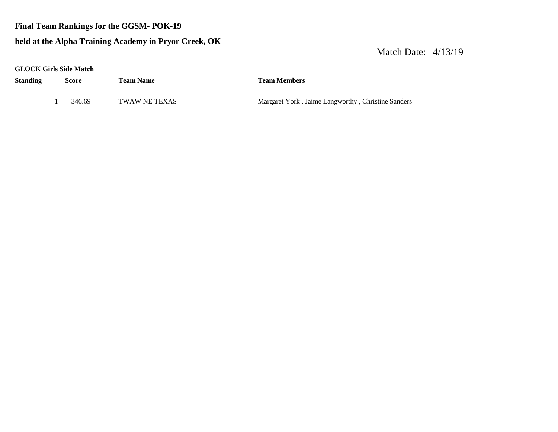#### **Final Team Rankings for the GGSM- POK-19**

### **held at the Alpha Training Academy in Pryor Creek, OK**

| <b>GLOCK Girls Side Match</b> |  |  |  |
|-------------------------------|--|--|--|
|-------------------------------|--|--|--|

| Standing | Score  | <b>Team Name</b> | <b>Team Members</b>                                |
|----------|--------|------------------|----------------------------------------------------|
|          | 346.69 | TWAW NE TEXAS    | Margaret York, Jaime Langworthy, Christine Sanders |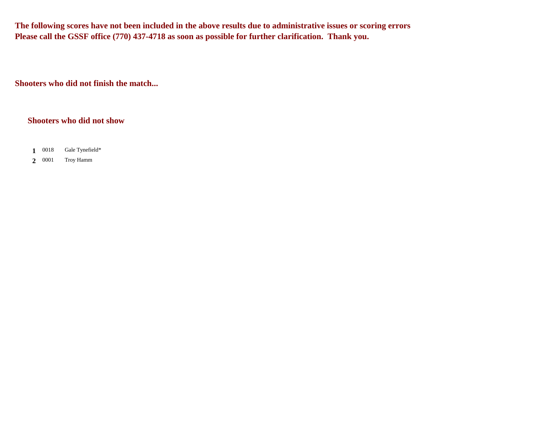**The following scores have not been included in the above results due to administrative issues or scoring errors Please call the GSSF office (770) 437-4718 as soon as possible for further clarification. Thank you.**

**Shooters who did not finish the match...**

#### **Shooters who did not show**

- 1 0018 **1** Gale Tynefield\*
- 2 0001 **2** Troy Hamm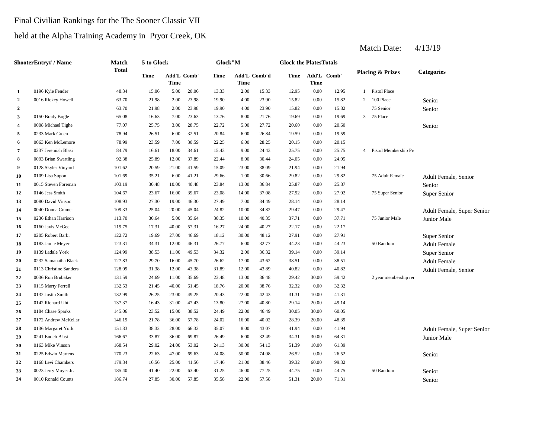### Final Civilian Rankings for the The Sooner Classic VII

## held at the Alpha Training Academy in Pryor Creek, OK

|                | ShooterEntry# / Name   | Match        | 5 to Glock |                            |       | Glock"M |             |              | <b>Glock the PlatesTotals</b> |                     |       |              |                             |                            |
|----------------|------------------------|--------------|------------|----------------------------|-------|---------|-------------|--------------|-------------------------------|---------------------|-------|--------------|-----------------------------|----------------------------|
|                | 0196 Kyle Fender       | <b>Total</b> | Time       | <b>Add'L Comb'</b><br>Time |       | Time    | <b>Time</b> | Add'L Comb'd | Time                          | Add'L Comb'<br>Time |       |              | <b>Placing &amp; Prizes</b> | <b>Categories</b>          |
| $\mathbf{1}$   |                        | 48.34        | 15.06      | 5.00                       | 20.06 | 13.33   | 2.00        | 15.33        | 12.95                         | $0.00\,$            | 12.95 | $\mathbf{1}$ | Pistol Place                |                            |
| $\overline{2}$ | 0016 Rickey Howell     | 63.70        | 21.98      | 2.00                       | 23.98 | 19.90   | 4.00        | 23.90        | 15.82                         | 0.00                | 15.82 | 2            | 100 Place                   | Senior                     |
| $\mathbf{2}$   |                        | 63.70        | 21.98      | 2.00                       | 23.98 | 19.90   | 4.00        | 23.90        | 15.82                         | 0.00                | 15.82 |              | 75 Senior                   | Senior                     |
| 3              | 0150 Brady Bogle       | 65.08        | 16.63      | 7.00                       | 23.63 | 13.76   | 8.00        | 21.76        | 19.69                         | 0.00                | 19.69 | 3            | 75 Place                    |                            |
| 4              | 0008 Michael Tighe     | 77.07        | 25.75      | 3.00                       | 28.75 | 22.72   | 5.00        | 27.72        | 20.60                         | $0.00\,$            | 20.60 |              |                             | Senior                     |
| 5              | 0233 Mark Green        | 78.94        | 26.51      | 6.00                       | 32.51 | 20.84   | 6.00        | 26.84        | 19.59                         | $0.00\,$            | 19.59 |              |                             |                            |
| 6              | 0063 Ken McLemore      | 78.99        | 23.59      | 7.00                       | 30.59 | 22.25   | 6.00        | 28.25        | 20.15                         | 0.00                | 20.15 |              |                             |                            |
| 7              | 0237 Jeremiah Blasi    | 84.79        | 16.61      | 18.00                      | 34.61 | 15.43   | 9.00        | 24.43        | 25.75                         | 0.00                | 25.75 |              | 4 Pistol Membership Pr      |                            |
| 8              | 0093 Brian Swartling   | 92.38        | 25.89      | 12.00                      | 37.89 | 22.44   | 8.00        | 30.44        | 24.05                         | 0.00                | 24.05 |              |                             |                            |
| 9              | 0128 Skyler Vinyard    | 101.62       | 20.59      | 21.00                      | 41.59 | 15.09   | 23.00       | 38.09        | 21.94                         | 0.00                | 21.94 |              |                             |                            |
| 10             | 0109 Lisa Supon        | 101.69       | 35.21      | 6.00                       | 41.21 | 29.66   | 1.00        | 30.66        | 29.82                         | 0.00                | 29.82 |              | 75 Adult Female             | Adult Female, Senior       |
| 11             | 0015 Steven Foreman    | 103.19       | 30.48      | 10.00                      | 40.48 | 23.84   | 13.00       | 36.84        | 25.87                         | 0.00                | 25.87 |              |                             | Senior                     |
| 12             | 0146 Jess Smith        | 104.67       | 23.67      | 16.00                      | 39.67 | 23.08   | 14.00       | 37.08        | 27.92                         | 0.00                | 27.92 |              | 75 Super Senior             | Super Senior               |
| 13             | 0080 David Vinson      | 108.93       | 27.30      | 19.00                      | 46.30 | 27.49   | 7.00        | 34.49        | 28.14                         | 0.00                | 28.14 |              |                             |                            |
| 14             | 0040 Donna Cramer      | 109.33       | 25.04      | 20.00                      | 45.04 | 24.82   | 10.00       | 34.82        | 29.47                         | 0.00                | 29.47 |              |                             | Adult Female, Super Senior |
| 15             | 0236 Ethan Harrison    | 113.70       | 30.64      | 5.00                       | 35.64 | 30.35   | 10.00       | 40.35        | 37.71                         | 0.00                | 37.71 |              | 75 Junior Male              | Junior Male                |
| 16             | 0160 Javis McGee       | 119.75       | 17.31      | 40.00                      | 57.31 | 16.27   | 24.00       | 40.27        | 22.17                         | 0.00                | 22.17 |              |                             |                            |
| 17             | 0205 Robert Barbi      | 122.72       | 19.69      | 27.00                      | 46.69 | 18.12   | 30.00       | 48.12        | 27.91                         | 0.00                | 27.91 |              |                             | Super Senior               |
| 18             | 0183 Jamie Meyer       | 123.31       | 34.31      | 12.00                      | 46.31 | 26.77   | 6.00        | 32.77        | 44.23                         | 0.00                | 44.23 |              | 50 Random                   | <b>Adult Female</b>        |
| 19             | 0139 Ladale York       | 124.99       | 38.53      | 11.00                      | 49.53 | 34.32   | 2.00        | 36.32        | 39.14                         | 0.00                | 39.14 |              |                             | Super Senior               |
| 20             | 0232 Samanatha Black   | 127.83       | 29.70      | 16.00                      | 45.70 | 26.62   | 17.00       | 43.62        | 38.51                         | 0.00                | 38.51 |              |                             | <b>Adult Female</b>        |
| 21             | 0113 Christine Sanders | 128.09       | 31.38      | 12.00                      | 43.38 | 31.89   | 12.00       | 43.89        | 40.82                         | 0.00                | 40.82 |              |                             | Adult Female, Senior       |
| 22             | 0036 Ron Brubaker      | 131.59       | 24.69      | 11.00                      | 35.69 | 23.48   | 13.00       | 36.48        | 29.42                         | 30.00               | 59.42 |              | 2 year membership rea       |                            |
| 23             | 0115 Marty Ferrell     | 132.53       | 21.45      | 40.00                      | 61.45 | 18.76   | 20.00       | 38.76        | 32.32                         | 0.00                | 32.32 |              |                             |                            |
| 24             | 0132 Justin Smith      | 132.99       | 26.25      | 23.00                      | 49.25 | 20.43   | 22.00       | 42.43        | 31.31                         | 10.00               | 41.31 |              |                             |                            |
| 25             | 0142 Richard Uht       | 137.37       | 16.43      | 31.00                      | 47.43 | 13.80   | 27.00       | 40.80        | 29.14                         | 20.00               | 49.14 |              |                             |                            |
| 26             | 0184 Chase Sparks      | 145.06       | 23.52      | 15.00                      | 38.52 | 24.49   | 22.00       | 46.49        | 30.05                         | 30.00               | 60.05 |              |                             |                            |
| 27             | 0172 Andrew McKellar   | 146.19       | 21.78      | 36.00                      | 57.78 | 24.02   | 16.00       | 40.02        | 28.39                         | 20.00               | 48.39 |              |                             |                            |
| 28             | 0136 Margaret York     | 151.33       | 38.32      | 28.00                      | 66.32 | 35.07   | 8.00        | 43.07        | 41.94                         | 0.00                | 41.94 |              |                             | Adult Female, Super Senior |
| 29             | 0241 Enoch Blasi       | 166.67       | 33.87      | 36.00                      | 69.87 | 26.49   | 6.00        | 32.49        | 34.31                         | 30.00               | 64.31 |              |                             | Junior Male                |
| 30             | 0163 Mike Vinson       | 168.54       | 29.02      | 24.00                      | 53.02 | 24.13   | 30.00       | 54.13        | 51.39                         | 10.00               | 61.39 |              |                             |                            |
| 31             | 0225 Edwin Martens     | 170.23       | 22.63      | 47.00                      | 69.63 | 24.08   | 50.00       | 74.08        | 26.52                         | 0.00                | 26.52 |              |                             | Senior                     |
| 32             | 0168 Levi Chambers     | 179.34       | 16.56      | 25.00                      | 41.56 | 17.46   | 21.00       | 38.46        | 39.32                         | 60.00               | 99.32 |              |                             |                            |
| 33             | 0023 Jerry Moyer Jr.   | 185.40       | 41.40      | 22.00                      | 63.40 | 31.25   | 46.00       | 77.25        | 44.75                         | 0.00                | 44.75 |              | 50 Random                   | Senior                     |
| 34             | 0010 Ronald Counts     | 186.74       | 27.85      | 30.00                      | 57.85 | 35.58   | 22.00       | 57.58        | 51.31                         | 20.00               | 71.31 |              |                             | Senior                     |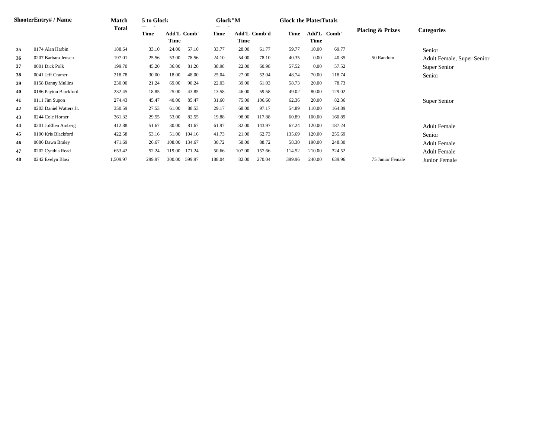|    | <b>ShooterEntry#/Name</b> | <b>Match</b> | 5 to Glock |                            |        | Glock"M |        |              | <b>Glock the Plates Totals</b> |        |             |                             |                            |
|----|---------------------------|--------------|------------|----------------------------|--------|---------|--------|--------------|--------------------------------|--------|-------------|-----------------------------|----------------------------|
|    |                           | <b>Total</b> | Time       | <b>Add'L Comb'</b><br>Time |        | Time    | Time   | Add'L Comb'd | Time                           | Time   | Add'L Comb' | <b>Placing &amp; Prizes</b> | <b>Categories</b>          |
| 35 | 0174 Alan Harbin          | 188.64       | 33.10      | 24.00                      | 57.10  | 33.77   | 28.00  | 61.77        | 59.77                          | 10.00  | 69.77       |                             | Senior                     |
| 36 | 0207 Barbara Jensen       | 197.01       | 25.56      | 53.00                      | 78.56  | 24.10   | 54.00  | 78.10        | 40.35                          | 0.00   | 40.35       | 50 Random                   | Adult Female, Super Senior |
| 37 | 0001 Dick Polk            | 199.70       | 45.20      | 36.00                      | 81.20  | 38.98   | 22.00  | 60.98        | 57.52                          | 0.00   | 57.52       |                             | Super Senior               |
| 38 | 0041 Jeff Cramer          | 218.78       | 30.00      | 18.00                      | 48.00  | 25.04   | 27.00  | 52.04        | 48.74                          | 70.00  | 118.74      |                             | Senior                     |
| 39 | 0158 Danny Mullins        | 230.00       | 21.24      | 69.00                      | 90.24  | 22.03   | 39.00  | 61.03        | 58.73                          | 20.00  | 78.73       |                             |                            |
| 40 | 0186 Payton Blackford     | 232.45       | 18.85      | 25.00                      | 43.85  | 13.58   | 46.00  | 59.58        | 49.02                          | 80.00  | 129.02      |                             |                            |
| 41 | 0111 Jim Supon            | 274.43       | 45.47      | 40.00                      | 85.47  | 31.60   | 75.00  | 106.60       | 62.36                          | 20.00  | 82.36       |                             | Super Senior               |
| 42 | 0203 Daniel Watters Jr.   | 350.59       | 27.53      | 61.00                      | 88.53  | 29.17   | 68.00  | 97.17        | 54.89                          | 110.00 | 164.89      |                             |                            |
| 43 | 0244 Cole Horner          | 361.32       | 29.55      | 53.00                      | 82.55  | 19.88   | 98.00  | 117.88       | 60.89                          | 100.00 | 160.89      |                             |                            |
| 44 | 0201 JoEllen Amberg       | 412.88       | 51.67      | 30.00                      | 81.67  | 61.97   | 82.00  | 143.97       | 67.24                          | 120.00 | 187.24      |                             | <b>Adult Female</b>        |
| 45 | 0190 Kris Blackford       | 422.58       | 53.16      | 51.00                      | 104.16 | 41.73   | 21.00  | 62.73        | 135.69                         | 120.00 | 255.69      |                             | Senior                     |
| 46 | 0086 Dawn Braley          | 471.69       | 26.67      | 108.00                     | 134.67 | 30.72   | 58.00  | 88.72        | 58.30                          | 190.00 | 248.30      |                             | <b>Adult Female</b>        |
| 47 | 0202 Cynthia Read         | 653.42       | 52.24      | 119.00                     | 171.24 | 50.66   | 107.00 | 157.66       | 114.52                         | 210.00 | 324.52      |                             | <b>Adult Female</b>        |
| 48 | 0242 Evelyn Blasi         | 1,509.97     | 299.97     | 300.00                     | 599.97 | 188.04  | 82.00  | 270.04       | 399.96                         | 240.00 | 639.96      | 75 Junior Female            | Junior Female              |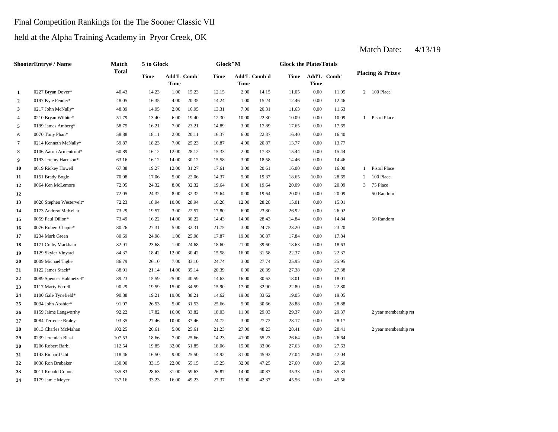### Final Competition Rankings for the The Sooner Classic VII

### held at the Alpha Training Academy in Pryor Creek, OK

|                         | ShooterEntry# / Name     | Match        | 5 to Glock  |                                   |       | Glock"M |             |              | <b>Glock the PlatesTotals</b> |          |             |                |                             |
|-------------------------|--------------------------|--------------|-------------|-----------------------------------|-------|---------|-------------|--------------|-------------------------------|----------|-------------|----------------|-----------------------------|
|                         |                          | <b>Total</b> | <b>Time</b> | <b>Add'L Comb'</b><br><b>Time</b> |       | Time    | <b>Time</b> | Add'L Comb'd | Time                          | Time     | Add'L Comb' |                | <b>Placing &amp; Prizes</b> |
| 1                       | 0227 Bryan Dover*        | 40.43        | 14.23       | 1.00                              | 15.23 | 12.15   | 2.00        | 14.15        | 11.05                         | 0.00     | 11.05       | 2              | 100 Place                   |
| $\overline{2}$          | 0197 Kyle Fender*        | 48.05        | 16.35       | 4.00                              | 20.35 | 14.24   | 1.00        | 15.24        | 12.46                         | 0.00     | 12.46       |                |                             |
| $\overline{\mathbf{3}}$ | 0217 John McNally*       | 48.89        | 14.95       | 2.00                              | 16.95 | 13.31   | 7.00        | 20.31        | 11.63                         | 0.00     | 11.63       |                |                             |
| 4                       | 0210 Bryan Wilhite*      | 51.79        | 13.40       | 6.00                              | 19.40 | 12.30   | 10.00       | 22.30        | 10.09                         | 0.00     | 10.09       | $\mathbf{1}$   | Pistol Place                |
| 5                       | 0199 James Amberg*       | 58.75        | 16.21       | 7.00                              | 23.21 | 14.89   | 3.00        | 17.89        | 17.65                         | $0.00\,$ | 17.65       |                |                             |
| 6                       | 0070 Tony Phan*          | 58.88        | 18.11       | 2.00                              | 20.11 | 16.37   | 6.00        | 22.37        | 16.40                         | 0.00     | 16.40       |                |                             |
| $\overline{7}$          | 0214 Kenneth McNally*    | 59.87        | 18.23       | 7.00                              | 25.23 | 16.87   | 4.00        | 20.87        | 13.77                         | $0.00\,$ | 13.77       |                |                             |
| 8                       | 0106 Aaron Armentrout*   | 60.89        | 16.12       | 12.00                             | 28.12 | 15.33   | 2.00        | 17.33        | 15.44                         | 0.00     | 15.44       |                |                             |
| 9                       | 0193 Jeremy Harrison*    | 63.16        | 16.12       | 14.00                             | 30.12 | 15.58   | 3.00        | 18.58        | 14.46                         | 0.00     | 14.46       |                |                             |
| 10                      | 0019 Rickey Howell       | 67.88        | 19.27       | 12.00                             | 31.27 | 17.61   | 3.00        | 20.61        | 16.00                         | 0.00     | 16.00       | $\mathbf{1}$   | Pistol Place                |
| 11                      | 0151 Brady Bogle         | 70.08        | 17.06       | 5.00                              | 22.06 | 14.37   | 5.00        | 19.37        | 18.65                         | 10.00    | 28.65       | $\overline{c}$ | 100 Place                   |
| 12                      | 0064 Ken McLemore        | 72.05        | 24.32       | 8.00                              | 32.32 | 19.64   | 0.00        | 19.64        | 20.09                         | 0.00     | 20.09       | 3              | 75 Place                    |
| 12                      |                          | 72.05        | 24.32       | 8.00                              | 32.32 | 19.64   | 0.00        | 19.64        | 20.09                         | 0.00     | 20.09       |                | 50 Random                   |
| 13                      | 0028 Stephen Westervelt* | 72.23        | 18.94       | 10.00                             | 28.94 | 16.28   | 12.00       | 28.28        | 15.01                         | 0.00     | 15.01       |                |                             |
| 14                      | 0173 Andrew McKellar     | 73.29        | 19.57       | 3.00                              | 22.57 | 17.80   | 6.00        | 23.80        | 26.92                         | 0.00     | 26.92       |                |                             |
| 15                      | 0059 Paul Dillon*        | 73.49        | 16.22       | 14.00                             | 30.22 | 14.43   | 14.00       | 28.43        | 14.84                         | 0.00     | 14.84       |                | 50 Random                   |
| 16                      | 0076 Robert Chapie*      | 80.26        | 27.31       | 5.00                              | 32.31 | 21.75   | 3.00        | 24.75        | 23.20                         | 0.00     | 23.20       |                |                             |
| 17                      | 0234 Mark Green          | 80.69        | 24.98       | 1.00                              | 25.98 | 17.87   | 19.00       | 36.87        | 17.84                         | $0.00\,$ | 17.84       |                |                             |
| 18                      | 0171 Colby Markham       | 82.91        | 23.68       | 1.00                              | 24.68 | 18.60   | 21.00       | 39.60        | 18.63                         | 0.00     | 18.63       |                |                             |
| 19                      | 0129 Skyler Vinyard      | 84.37        | 18.42       | 12.00                             | 30.42 | 15.58   | 16.00       | 31.58        | 22.37                         | 0.00     | 22.37       |                |                             |
| 20                      | 0009 Michael Tighe       | 86.79        | 26.10       | 7.00                              | 33.10 | 24.74   | 3.00        | 27.74        | 25.95                         | 0.00     | 25.95       |                |                             |
| 21                      | 0122 James Stack*        | 88.91        | 21.14       | 14.00                             | 35.14 | 20.39   | 6.00        | 26.39        | 27.38                         | 0.00     | 27.38       |                |                             |
| 22                      | 0089 Spencer Habluetzel* | 89.23        | 15.59       | 25.00                             | 40.59 | 14.63   | 16.00       | 30.63        | 18.01                         | 0.00     | 18.01       |                |                             |
| 23                      | 0117 Marty Ferrell       | 90.29        | 19.59       | 15.00                             | 34.59 | 15.90   | 17.00       | 32.90        | 22.80                         | 0.00     | 22.80       |                |                             |
| 24                      | 0100 Gale Tynefield*     | 90.88        | 19.21       | 19.00                             | 38.21 | 14.62   | 19.00       | 33.62        | 19.05                         | 0.00     | 19.05       |                |                             |
| 25                      | 0034 John Abshier*       | 91.07        | 26.53       | 5.00                              | 31.53 | 25.66   | 5.00        | 30.66        | 28.88                         | 0.00     | 28.88       |                |                             |
| 26                      | 0159 Jaime Langworthy    | 92.22        | 17.82       | 16.00                             | 33.82 | 18.03   | 11.00       | 29.03        | 29.37                         | 0.00     | 29.37       |                | 2 year membership rea       |
| 27                      | 0084 Terrence Braley     | 93.35        | 27.46       | 10.00                             | 37.46 | 24.72   | 3.00        | 27.72        | 28.17                         | 0.00     | 28.17       |                |                             |
| 28                      | 0013 Charles McMahan     | 102.25       | 20.61       | 5.00                              | 25.61 | 21.23   | 27.00       | 48.23        | 28.41                         | 0.00     | 28.41       |                | 2 year membership rea       |
| 29                      | 0239 Jeremiah Blasi      | 107.53       | 18.66       | 7.00                              | 25.66 | 14.23   | 41.00       | 55.23        | 26.64                         | 0.00     | 26.64       |                |                             |
| 30                      | 0206 Robert Barbi        | 112.54       | 19.85       | 32.00                             | 51.85 | 18.06   | 15.00       | 33.06        | 27.63                         | 0.00     | 27.63       |                |                             |
| 31                      | 0143 Richard Uht         | 118.46       | 16.50       | 9.00                              | 25.50 | 14.92   | 31.00       | 45.92        | 27.04                         | 20.00    | 47.04       |                |                             |
| 32                      | 0038 Ron Brubaker        | 130.00       | 33.15       | 22.00                             | 55.15 | 15.25   | 32.00       | 47.25        | 27.60                         | 0.00     | 27.60       |                |                             |
| 33                      | 0011 Ronald Counts       | 135.83       | 28.63       | 31.00                             | 59.63 | 26.87   | 14.00       | 40.87        | 35.33                         | 0.00     | 35.33       |                |                             |
| 34                      | 0179 Jamie Meyer         | 137.16       | 33.23       | 16.00                             | 49.23 | 27.37   | 15.00       | 42.37        | 45.56                         | 0.00     | 45.56       |                |                             |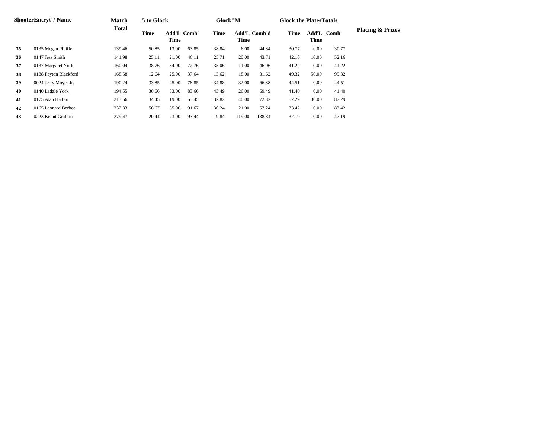|    | <b>ShooterEntry#/Name</b> | <b>Match</b> | 5 to Glock |                            |       | Glock"M |        |                     | <b>Glock the PlatesTotals</b> |       |             |                             |
|----|---------------------------|--------------|------------|----------------------------|-------|---------|--------|---------------------|-------------------------------|-------|-------------|-----------------------------|
|    |                           | <b>Total</b> | Time       | <b>Add'L Comb'</b><br>Time |       | Time    | Time   | <b>Add'L Comb'd</b> | Time                          | Time  | Add'L Comb' | <b>Placing &amp; Prizes</b> |
| 35 | 0135 Megan Pfeiffer       | 139.46       | 50.85      | 13.00                      | 63.85 | 38.84   | 6.00   | 44.84               | 30.77                         | 0.00  | 30.77       |                             |
| 36 | 0147 Jess Smith           | 141.98       | 25.11      | 21.00                      | 46.11 | 23.71   | 20.00  | 43.71               | 42.16                         | 10.00 | 52.16       |                             |
| 37 | 0137 Margaret York        | 160.04       | 38.76      | 34.00                      | 72.76 | 35.06   | 11.00  | 46.06               | 41.22                         | 0.00  | 41.22       |                             |
| 38 | 0188 Payton Blackford     | 168.58       | 12.64      | 25.00                      | 37.64 | 13.62   | 18.00  | 31.62               | 49.32                         | 50.00 | 99.32       |                             |
| 39 | 0024 Jerry Moyer Jr.      | 190.24       | 33.85      | 45.00                      | 78.85 | 34.88   | 32.00  | 66.88               | 44.51                         | 0.00  | 44.51       |                             |
| 40 | 0140 Ladale York          | 194.55       | 30.66      | 53.00                      | 83.66 | 43.49   | 26.00  | 69.49               | 41.40                         | 0.00  | 41.40       |                             |
| 41 | 0175 Alan Harbin          | 213.56       | 34.45      | 19.00                      | 53.45 | 32.82   | 40.00  | 72.82               | 57.29                         | 30.00 | 87.29       |                             |
| 42 | 0165 Leonard Berbee       | 232.33       | 56.67      | 35.00                      | 91.67 | 36.24   | 21.00  | 57.24               | 73.42                         | 10.00 | 83.42       |                             |
| 43 | 0223 Kemit Grafton        | 279.47       | 20.44      | 73.00                      | 93.44 | 19.84   | 119.00 | 138.84              | 37.19                         | 10.00 | 47.19       |                             |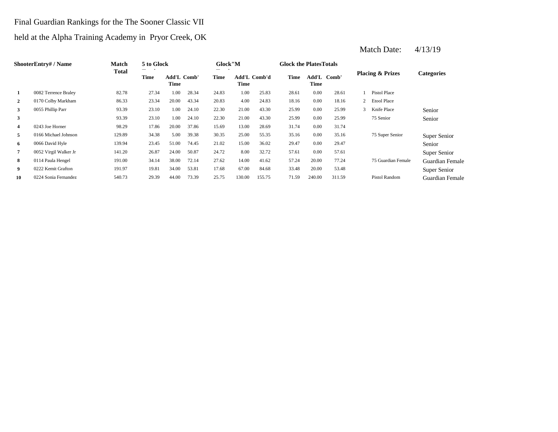### Final Guardian Rankings for the The Sooner Classic VII

### held at the Alpha Training Academy in Pryor Creek, OK

| <b>ShooterEntry#/Name</b> | Match                 | 5 to Glock   |       |                            | Glock"M |       |                             | <b>Glock the Plates Totals</b> |       |                     |        |                |                             |                   |
|---------------------------|-----------------------|--------------|-------|----------------------------|---------|-------|-----------------------------|--------------------------------|-------|---------------------|--------|----------------|-----------------------------|-------------------|
|                           |                       | <b>Total</b> | Time  | <b>Add'L Comb'</b><br>Time |         | Time  | <b>Add'L Comb'd</b><br>Time |                                | Time  | Add'L Comb'<br>Time |        |                | <b>Placing &amp; Prizes</b> | <b>Categories</b> |
| 1                         | 0082 Terrence Braley  | 82.78        | 27.34 | 1.00                       | 28.34   | 24.83 | 1.00                        | 25.83                          | 28.61 | 0.00                | 28.61  |                | Pistol Place                |                   |
| $\overline{2}$            | 0170 Colby Markham    | 86.33        | 23.34 | 20.00                      | 43.34   | 20.83 | 4.00                        | 24.83                          | 18.16 | 0.00                | 18.16  | $\overline{2}$ | <b>Etool Place</b>          |                   |
| $\mathbf{3}$              | 0055 Phillip Parr     | 93.39        | 23.10 | 1.00                       | 24.10   | 22.30 | 21.00                       | 43.30                          | 25.99 | 0.00                | 25.99  | 3              | Knife Place                 | Senior            |
| 3                         |                       | 93.39        | 23.10 | 1.00                       | 24.10   | 22.30 | 21.00                       | 43.30                          | 25.99 | $0.00\,$            | 25.99  |                | 75 Senior                   | Senior            |
| $\overline{\mathbf{4}}$   | 0243 Joe Horner       | 98.29        | 17.86 | 20.00                      | 37.86   | 15.69 | 13.00                       | 28.69                          | 31.74 | 0.00                | 31.74  |                |                             |                   |
| 5                         | 0166 Michael Johnson  | 129.89       | 34.38 | 5.00                       | 39.38   | 30.35 | 25.00                       | 55.35                          | 35.16 | 0.00                | 35.16  |                | 75 Super Senior             | Super Senior      |
| -6                        | 0066 David Hyle       | 139.94       | 23.45 | 51.00                      | 74.45   | 21.02 | 15.00                       | 36.02                          | 29.47 | $0.00\,$            | 29.47  |                |                             | Senior            |
| $\overline{7}$            | 0052 Virgil Walker Jr | 141.20       | 26.87 | 24.00                      | 50.87   | 24.72 | 8.00                        | 32.72                          | 57.61 | 0.00                | 57.61  |                |                             | Super Senior      |
| 8                         | 0114 Paula Hengel     | 191.00       | 34.14 | 38.00                      | 72.14   | 27.62 | 14.00                       | 41.62                          | 57.24 | 20.00               | 77.24  |                | 75 Guardian Female          | Guardian Female   |
| 9                         | 0222 Kemit Grafton    | 191.97       | 19.81 | 34.00                      | 53.81   | 17.68 | 67.00                       | 84.68                          | 33.48 | 20.00               | 53.48  |                |                             | Super Senior      |
| 10                        | 0224 Sonia Fernandez  | 540.73       | 29.39 | 44.00                      | 73.39   | 25.75 | 130.00                      | 155.75                         | 71.59 | 240.00              | 311.59 |                | <b>Pistol Random</b>        | Guardian Female   |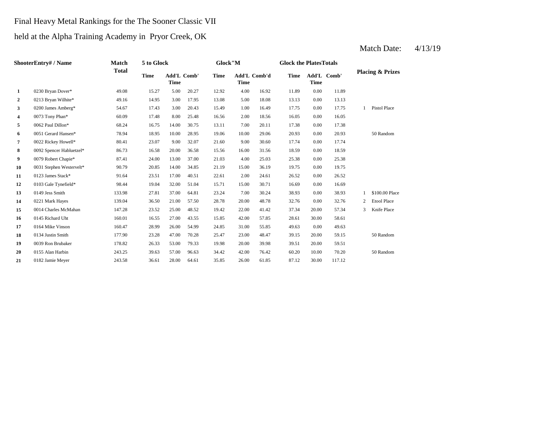#### Final Heavy Metal Rankings for the The Sooner Classic VII

### held at the Alpha Training Academy in Pryor Creek, OK

|              | <b>ShooterEntry# / Name</b> | Match        | 5 to Glock  |                     |       | Glock"M     |       |              | <b>Glock the PlatesTotals</b> |             |             |   |                             |
|--------------|-----------------------------|--------------|-------------|---------------------|-------|-------------|-------|--------------|-------------------------------|-------------|-------------|---|-----------------------------|
|              |                             | <b>Total</b> | <b>Time</b> | Add'L Comb'<br>Time |       | <b>Time</b> | Time  | Add'L Comb'd | Time                          | <b>Time</b> | Add'L Comb' |   | <b>Placing &amp; Prizes</b> |
| $\mathbf{1}$ | 0230 Bryan Dover*           | 49.08        | 15.27       | 5.00                | 20.27 | 12.92       | 4.00  | 16.92        | 11.89                         | 0.00        | 11.89       |   |                             |
| $\mathbf{2}$ | 0213 Bryan Wilhite*         | 49.16        | 14.95       | 3.00                | 17.95 | 13.08       | 5.00  | 18.08        | 13.13                         | 0.00        | 13.13       |   |                             |
| 3            | 0200 James Amberg*          | 54.67        | 17.43       | 3.00                | 20.43 | 15.49       | 1.00  | 16.49        | 17.75                         | 0.00        | 17.75       |   | Pistol Place                |
| 4            | 0073 Tony Phan*             | 60.09        | 17.48       | 8.00                | 25.48 | 16.56       | 2.00  | 18.56        | 16.05                         | 0.00        | 16.05       |   |                             |
| 5            | 0062 Paul Dillon*           | 68.24        | 16.75       | 14.00               | 30.75 | 13.11       | 7.00  | 20.11        | 17.38                         | 0.00        | 17.38       |   |                             |
| 6            | 0051 Gerard Hansen*         | 78.94        | 18.95       | 10.00               | 28.95 | 19.06       | 10.00 | 29.06        | 20.93                         | 0.00        | 20.93       |   | 50 Random                   |
| 7            | 0022 Rickey Howell*         | 80.41        | 23.07       | 9.00                | 32.07 | 21.60       | 9.00  | 30.60        | 17.74                         | 0.00        | 17.74       |   |                             |
| 8            | 0092 Spencer Habluetzel*    | 86.73        | 16.58       | 20.00               | 36.58 | 15.56       | 16.00 | 31.56        | 18.59                         | 0.00        | 18.59       |   |                             |
| 9            | 0079 Robert Chapie*         | 87.41        | 24.00       | 13.00               | 37.00 | 21.03       | 4.00  | 25.03        | 25.38                         | 0.00        | 25.38       |   |                             |
| 10           | 0031 Stephen Westervelt*    | 90.79        | 20.85       | 14.00               | 34.85 | 21.19       | 15.00 | 36.19        | 19.75                         | 0.00        | 19.75       |   |                             |
| 11           | 0123 James Stack*           | 91.64        | 23.51       | 17.00               | 40.51 | 22.61       | 2.00  | 24.61        | 26.52                         | 0.00        | 26.52       |   |                             |
| 12           | 0103 Gale Tynefield*        | 98.44        | 19.04       | 32.00               | 51.04 | 15.71       | 15.00 | 30.71        | 16.69                         | 0.00        | 16.69       |   |                             |
| 13           | 0149 Jess Smith             | 133.98       | 27.81       | 37.00               | 64.81 | 23.24       | 7.00  | 30.24        | 38.93                         | 0.00        | 38.93       |   | \$100.00 Place              |
| 14           | 0221 Mark Hayes             | 139.04       | 36.50       | 21.00               | 57.50 | 28.78       | 20.00 | 48.78        | 32.76                         | 0.00        | 32.76       | 2 | <b>Etool Place</b>          |
| 15           | 0014 Charles McMahan        | 147.28       | 23.52       | 25.00               | 48.52 | 19.42       | 22.00 | 41.42        | 37.34                         | 20.00       | 57.34       | 3 | Knife Place                 |
| 16           | 0145 Richard Uht            | 160.01       | 16.55       | 27.00               | 43.55 | 15.85       | 42.00 | 57.85        | 28.61                         | 30.00       | 58.61       |   |                             |
| 17           | 0164 Mike Vinson            | 160.47       | 28.99       | 26.00               | 54.99 | 24.85       | 31.00 | 55.85        | 49.63                         | 0.00        | 49.63       |   |                             |
| 18           | 0134 Justin Smith           | 177.90       | 23.28       | 47.00               | 70.28 | 25.47       | 23.00 | 48.47        | 39.15                         | 20.00       | 59.15       |   | 50 Random                   |
| 19           | 0039 Ron Brubaker           | 178.82       | 26.33       | 53.00               | 79.33 | 19.98       | 20.00 | 39.98        | 39.51                         | 20.00       | 59.51       |   |                             |
| 20           | 0155 Alan Harbin            | 243.25       | 39.63       | 57.00               | 96.63 | 34.42       | 42.00 | 76.42        | 60.20                         | 10.00       | 70.20       |   | 50 Random                   |
| 21           | 0182 Jamie Meyer            | 243.58       | 36.61       | 28.00               | 64.61 | 35.85       | 26.00 | 61.85        | 87.12                         | 30.00       | 117.12      |   |                             |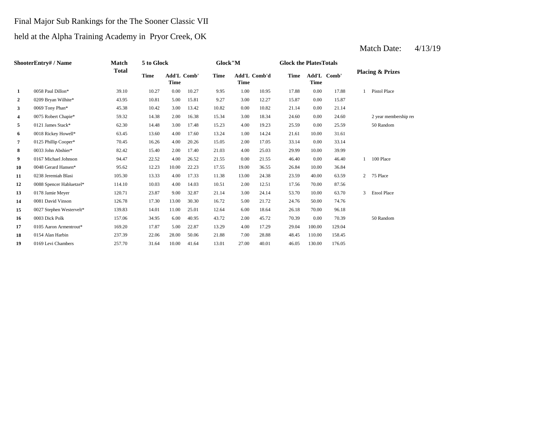### Final Major Sub Rankings for the The Sooner Classic VII

### held at the Alpha Training Academy in Pryor Creek, OK

|                | ShooterEntry#/Name       | Match        | 5 to Glock  |                            |       | Glock"M     |                      |       | <b>Glock the Plates Totals</b> |                     |        |                |                             |
|----------------|--------------------------|--------------|-------------|----------------------------|-------|-------------|----------------------|-------|--------------------------------|---------------------|--------|----------------|-----------------------------|
|                |                          | <b>Total</b> | <b>Time</b> | <b>Add'L Comb'</b><br>Time |       | <b>Time</b> | Add'L Comb'd<br>Time |       | Time                           | Add'L Comb'<br>Time |        |                | <b>Placing &amp; Prizes</b> |
| $\mathbf{1}$   | 0058 Paul Dillon*        | 39.10        | 10.27       | 0.00                       | 10.27 | 9.95        | 1.00                 | 10.95 | 17.88                          | 0.00                | 17.88  |                | Pistol Place                |
| $\overline{2}$ | 0209 Bryan Wilhite*      | 43.95        | 10.81       | 5.00                       | 15.81 | 9.27        | 3.00                 | 12.27 | 15.87                          | 0.00                | 15.87  |                |                             |
| $\mathbf{3}$   | 0069 Tony Phan*          | 45.38        | 10.42       | 3.00                       | 13.42 | 10.82       | 0.00                 | 10.82 | 21.14                          | 0.00                | 21.14  |                |                             |
| 4              | 0075 Robert Chapie*      | 59.32        | 14.38       | 2.00                       | 16.38 | 15.34       | 3.00                 | 18.34 | 24.60                          | 0.00                | 24.60  |                | 2 year membership rea       |
| 5              | 0121 James Stack*        | 62.30        | 14.48       | 3.00                       | 17.48 | 15.23       | 4.00                 | 19.23 | 25.59                          | 0.00                | 25.59  |                | 50 Random                   |
| 6              | 0018 Rickey Howell*      | 63.45        | 13.60       | 4.00                       | 17.60 | 13.24       | 1.00                 | 14.24 | 21.61                          | 10.00               | 31.61  |                |                             |
| $\overline{7}$ | 0125 Phillip Cooper*     | 70.45        | 16.26       | 4.00                       | 20.26 | 15.05       | 2.00                 | 17.05 | 33.14                          | 0.00                | 33.14  |                |                             |
| 8              | 0033 John Abshier*       | 82.42        | 15.40       | 2.00                       | 17.40 | 21.03       | 4.00                 | 25.03 | 29.99                          | 10.00               | 39.99  |                |                             |
| 9              | 0167 Michael Johnson     | 94.47        | 22.52       | 4.00                       | 26.52 | 21.55       | 0.00                 | 21.55 | 46.40                          | 0.00                | 46.40  | 1              | 100 Place                   |
| 10             | 0048 Gerard Hansen*      | 95.62        | 12.23       | 10.00                      | 22.23 | 17.55       | 19.00                | 36.55 | 26.84                          | 10.00               | 36.84  |                |                             |
| 11             | 0238 Jeremiah Blasi      | 105.30       | 13.33       | 4.00                       | 17.33 | 11.38       | 13.00                | 24.38 | 23.59                          | 40.00               | 63.59  | $\overline{2}$ | 75 Place                    |
| 12             | 0088 Spencer Habluetzel* | 114.10       | 10.03       | 4.00                       | 14.03 | 10.51       | 2.00                 | 12.51 | 17.56                          | 70.00               | 87.56  |                |                             |
| 13             | 0178 Jamie Meyer         | 120.71       | 23.87       | 9.00                       | 32.87 | 21.14       | 3.00                 | 24.14 | 53.70                          | 10.00               | 63.70  | 3              | <b>Etool Place</b>          |
| 14             | 0081 David Vinson        | 126.78       | 17.30       | 13.00                      | 30.30 | 16.72       | 5.00                 | 21.72 | 24.76                          | 50.00               | 74.76  |                |                             |
| 15             | 0027 Stephen Westervelt* | 139.83       | 14.01       | 11.00                      | 25.01 | 12.64       | 6.00                 | 18.64 | 26.18                          | 70.00               | 96.18  |                |                             |
| 16             | 0003 Dick Polk           | 157.06       | 34.95       | 6.00                       | 40.95 | 43.72       | 2.00                 | 45.72 | 70.39                          | 0.00                | 70.39  |                | 50 Random                   |
| 17             | 0105 Aaron Armentrout*   | 169.20       | 17.87       | 5.00                       | 22.87 | 13.29       | 4.00                 | 17.29 | 29.04                          | 100.00              | 129.04 |                |                             |
| 18             | 0154 Alan Harbin         | 237.39       | 22.06       | 28.00                      | 50.06 | 21.88       | 7.00                 | 28.88 | 48.45                          | 110.00              | 158.45 |                |                             |
| 19             | 0169 Levi Chambers       | 257.70       | 31.64       | 10.00                      | 41.64 | 13.01       | 27.00                | 40.01 | 46.05                          | 130.00              | 176.05 |                |                             |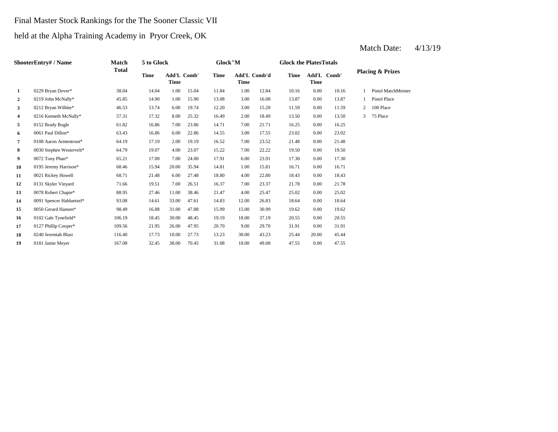### Final Master Stock Rankings for the The Sooner Classic VII

## held at the Alpha Training Academy in Pryor Creek, OK

|                | <b>ShooterEntry#/Name</b> | Match  | 5 to Glock |                            |       | Glock"M |                      |       | <b>Glock the Plates Totals</b> |          |             |   |                             |
|----------------|---------------------------|--------|------------|----------------------------|-------|---------|----------------------|-------|--------------------------------|----------|-------------|---|-----------------------------|
|                |                           | Total  | Time       | <b>Add'L Comb'</b><br>Time |       | Time    | Add'L Comb'd<br>Time |       | Time                           | Time     | Add'L Comb' |   | <b>Placing &amp; Prizes</b> |
| $\mathbf{1}$   | 0229 Bryan Dover*         | 38.04  | 14.04      | 1.00                       | 15.04 | 11.84   | 1.00                 | 12.84 | 10.16                          | 0.00     | 10.16       |   | Pistol MatchMeister         |
| $\overline{2}$ | 0219 John McNally*        | 45.85  | 14.90      | 1.00                       | 15.90 | 13.08   | 3.00                 | 16.08 | 13.87                          | 0.00     | 13.87       |   | Pistol Place                |
| 3              | 0212 Bryan Wilhite*       | 46.53  | 13.74      | 6.00                       | 19.74 | 12.20   | 3.00                 | 15.20 | 11.59                          | 0.00     | 11.59       | 2 | 100 Place                   |
| 4              | 0216 Kenneth McNally*     | 57.31  | 17.32      | 8.00                       | 25.32 | 16.49   | 2.00                 | 18.49 | 13.50                          | 0.00     | 13.50       | 3 | 75 Place                    |
| 5              | 0152 Brady Bogle          | 61.82  | 16.86      | 7.00                       | 23.86 | 14.71   | 7.00                 | 21.71 | 16.25                          | 0.00     | 16.25       |   |                             |
| 6              | 0061 Paul Dillon*         | 63.43  | 16.86      | 6.00                       | 22.86 | 14.55   | 3.00                 | 17.55 | 23.02                          | 0.00     | 23.02       |   |                             |
| 7              | 0108 Aaron Armentrout*    | 64.19  | 17.19      | 2.00                       | 19.19 | 16.52   | 7.00                 | 23.52 | 21.48                          | 0.00     | 21.48       |   |                             |
| 8              | 0030 Stephen Westervelt*  | 64.79  | 19.07      | 4.00                       | 23.07 | 15.22   | 7.00                 | 22.22 | 19.50                          | 0.00     | 19.50       |   |                             |
| 9              | 0072 Tony Phan*           | 65.21  | 17.00      | 7.00                       | 24.00 | 17.91   | 6.00                 | 23.91 | 17.30                          | 0.00     | 17.30       |   |                             |
| 10             | 0195 Jeremy Harrison*     | 68.46  | 15.94      | 20.00                      | 35.94 | 14.81   | 1.00                 | 15.81 | 16.71                          | 0.00     | 16.71       |   |                             |
| 11             | 0021 Rickey Howell        | 68.71  | 21.48      | 6.00                       | 27.48 | 18.80   | 4.00                 | 22.80 | 18.43                          | 0.00     | 18.43       |   |                             |
| 12             | 0131 Skyler Vinyard       | 71.66  | 19.51      | 7.00                       | 26.51 | 16.37   | 7.00                 | 23.37 | 21.78                          | 0.00     | 21.78       |   |                             |
| 13             | 0078 Robert Chapie*       | 88.95  | 27.46      | 11.00                      | 38.46 | 21.47   | 4.00                 | 25.47 | 25.02                          | 0.00     | 25.02       |   |                             |
| 14             | 0091 Spencer Habluetzel*  | 93.08  | 14.61      | 33.00                      | 47.61 | 14.83   | 12.00                | 26.83 | 18.64                          | 0.00     | 18.64       |   |                             |
| 15             | 0050 Gerard Hansen*       | 98.49  | 16.88      | 31.00                      | 47.88 | 15.99   | 15.00                | 30.99 | 19.62                          | 0.00     | 19.62       |   |                             |
| 16             | 0102 Gale Tynefield*      | 106.19 | 18.45      | 30.00                      | 48.45 | 19.19   | 18.00                | 37.19 | 20.55                          | $0.00\,$ | 20.55       |   |                             |
| 17             | 0127 Phillip Cooper*      | 109.56 | 21.95      | 26.00                      | 47.95 | 20.70   | 9.00                 | 29.70 | 31.91                          | 0.00     | 31.91       |   |                             |
| 18             | 0240 Jeremiah Blasi       | 116.40 | 17.73      | 10.00                      | 27.73 | 13.23   | 30.00                | 43.23 | 25.44                          | 20.00    | 45.44       |   |                             |
| 19             | 0181 Jamie Meyer          | 167.08 | 32.45      | 38.00                      | 70.45 | 31.08   | 18.00                | 49.08 | 47.55                          | 0.00     | 47.55       |   |                             |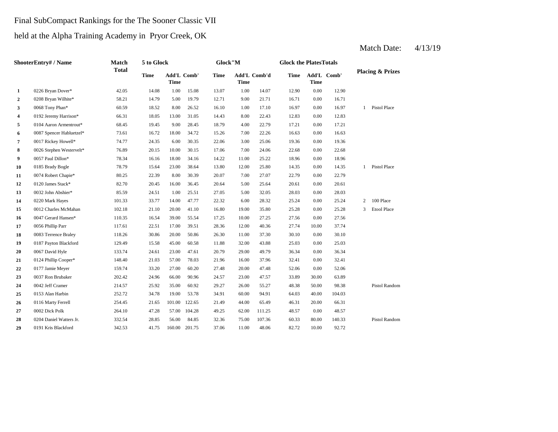### Final SubCompact Rankings for the The Sooner Classic VII

## held at the Alpha Training Academy in Pryor Creek, OK

|                | <b>ShooterEntry#/Name</b> | <b>Match</b> | 5 to Glock  |             |                    | Glock"M     |             |                     | <b>Glock the PlatesTotals</b> |             |             |   |                             |
|----------------|---------------------------|--------------|-------------|-------------|--------------------|-------------|-------------|---------------------|-------------------------------|-------------|-------------|---|-----------------------------|
|                |                           | <b>Total</b> | <b>Time</b> | <b>Time</b> | <b>Add'L Comb'</b> | <b>Time</b> | <b>Time</b> | <b>Add'L Comb'd</b> | <b>Time</b>                   | <b>Time</b> | Add'L Comb' |   | <b>Placing &amp; Prizes</b> |
| 1              | 0226 Bryan Dover*         | 42.05        | 14.08       | 1.00        | 15.08              | 13.07       | 1.00        | 14.07               | 12.90                         | 0.00        | 12.90       |   |                             |
| $\overline{2}$ | 0208 Bryan Wilhite*       | 58.21        | 14.79       | 5.00        | 19.79              | 12.71       | 9.00        | 21.71               | 16.71                         | 0.00        | 16.71       |   |                             |
| 3              | 0068 Tony Phan*           | 60.59        | 18.52       | 8.00        | 26.52              | 16.10       | 1.00        | 17.10               | 16.97                         | 0.00        | 16.97       | 1 | <b>Pistol Place</b>         |
| 4              | 0192 Jeremy Harrison*     | 66.31        | 18.05       | 13.00       | 31.05              | 14.43       | 8.00        | 22.43               | 12.83                         | 0.00        | 12.83       |   |                             |
| 5              | 0104 Aaron Armentrout*    | 68.45        | 19.45       | 9.00        | 28.45              | 18.79       | 4.00        | 22.79               | 17.21                         | 0.00        | 17.21       |   |                             |
| 6              | 0087 Spencer Habluetzel*  | 73.61        | 16.72       | 18.00       | 34.72              | 15.26       | 7.00        | 22.26               | 16.63                         | 0.00        | 16.63       |   |                             |
| 7              | 0017 Rickey Howell*       | 74.77        | 24.35       | 6.00        | 30.35              | 22.06       | 3.00        | 25.06               | 19.36                         | 0.00        | 19.36       |   |                             |
| 8              | 0026 Stephen Westervelt*  | 76.89        | 20.15       | 10.00       | 30.15              | 17.06       | 7.00        | 24.06               | 22.68                         | 0.00        | 22.68       |   |                             |
| 9              | 0057 Paul Dillon*         | 78.34        | 16.16       | 18.00       | 34.16              | 14.22       | 11.00       | 25.22               | 18.96                         | 0.00        | 18.96       |   |                             |
| 10             | 0185 Brady Bogle          | 78.79        | 15.64       | 23.00       | 38.64              | 13.80       | 12.00       | 25.80               | 14.35                         | 0.00        | 14.35       | 1 | Pistol Place                |
| 11             | 0074 Robert Chapie*       | 80.25        | 22.39       | 8.00        | 30.39              | 20.07       | 7.00        | 27.07               | 22.79                         | 0.00        | 22.79       |   |                             |
| 12             | 0120 James Stack*         | 82.70        | 20.45       | 16.00       | 36.45              | 20.64       | 5.00        | 25.64               | 20.61                         | 0.00        | 20.61       |   |                             |
| 13             | 0032 John Abshier*        | 85.59        | 24.51       | 1.00        | 25.51              | 27.05       | 5.00        | 32.05               | 28.03                         | 0.00        | 28.03       |   |                             |
| 14             | 0220 Mark Hayes           | 101.33       | 33.77       | 14.00       | 47.77              | 22.32       | 6.00        | 28.32               | 25.24                         | 0.00        | 25.24       | 2 | 100 Place                   |
| 15             | 0012 Charles McMahan      | 102.18       | 21.10       | 20.00       | 41.10              | 16.80       | 19.00       | 35.80               | 25.28                         | 0.00        | 25.28       | 3 | <b>Etool Place</b>          |
| 16             | 0047 Gerard Hansen*       | 110.35       | 16.54       | 39.00       | 55.54              | 17.25       | 10.00       | 27.25               | 27.56                         | 0.00        | 27.56       |   |                             |
| 17             | 0056 Phillip Parr         | 117.61       | 22.51       | 17.00       | 39.51              | 28.36       | 12.00       | 40.36               | 27.74                         | 10.00       | 37.74       |   |                             |
| 18             | 0083 Terrence Braley      | 118.26       | 30.86       | 20.00       | 50.86              | 26.30       | 11.00       | 37.30               | 30.10                         | 0.00        | 30.10       |   |                             |
| 19             | 0187 Payton Blackford     | 129.49       | 15.58       | 45.00       | 60.58              | 11.88       | 32.00       | 43.88               | 25.03                         | 0.00        | 25.03       |   |                             |
| 20             | 0067 David Hyle           | 133.74       | 24.61       | 23.00       | 47.61              | 20.79       | 29.00       | 49.79               | 36.34                         | 0.00        | 36.34       |   |                             |
| 21             | 0124 Phillip Cooper*      | 148.40       | 21.03       | 57.00       | 78.03              | 21.96       | 16.00       | 37.96               | 32.41                         | 0.00        | 32.41       |   |                             |
| 22             | 0177 Jamie Meyer          | 159.74       | 33.20       | 27.00       | 60.20              | 27.48       | 20.00       | 47.48               | 52.06                         | 0.00        | 52.06       |   |                             |
| 23             | 0037 Ron Brubaker         | 202.42       | 24.96       | 66.00       | 90.96              | 24.57       | 23.00       | 47.57               | 33.89                         | 30.00       | 63.89       |   |                             |
| 24             | 0042 Jeff Cramer          | 214.57       | 25.92       | 35.00       | 60.92              | 29.27       | 26.00       | 55.27               | 48.38                         | 50.00       | 98.38       |   | Pistol Random               |
| 25             | 0153 Alan Harbin          | 252.72       | 34.78       | 19.00       | 53.78              | 34.91       | 60.00       | 94.91               | 64.03                         | 40.00       | 104.03      |   |                             |
| 26             | 0116 Marty Ferrell        | 254.45       | 21.65       | 101.00      | 122.65             | 21.49       | 44.00       | 65.49               | 46.31                         | 20.00       | 66.31       |   |                             |
| 27             | 0002 Dick Polk            | 264.10       | 47.28       | 57.00       | 104.28             | 49.25       | 62.00       | 111.25              | 48.57                         | 0.00        | 48.57       |   |                             |
| 28             | 0204 Daniel Watters Jr.   | 332.54       | 28.85       | 56.00       | 84.85              | 32.36       | 75.00       | 107.36              | 60.33                         | 80.00       | 140.33      |   | Pistol Random               |
| 29             | 0191 Kris Blackford       | 342.53       | 41.75       | 160.00      | 201.75             | 37.06       | 11.00       | 48.06               | 82.72                         | 10.00       | 92.72       |   |                             |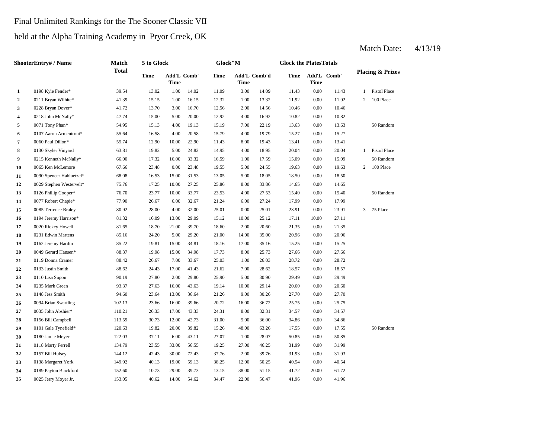#### Final Unlimited Rankings for the The Sooner Classic VII

### held at the Alpha Training Academy in Pryor Creek, OK

| ShooterEntry# / Name |                          | Match        | 5 to Glock |             |                    | Glock"M |       |              | <b>Glock the PlatesTotals</b> |             |             |                             |                |  |
|----------------------|--------------------------|--------------|------------|-------------|--------------------|---------|-------|--------------|-------------------------------|-------------|-------------|-----------------------------|----------------|--|
|                      |                          | <b>Total</b> | Time       | <b>Time</b> | <b>Add'L Comb'</b> | Time    | Time  | Add'L Comb'd | Time                          | <b>Time</b> | Add'L Comb' | <b>Placing &amp; Prizes</b> |                |  |
| $\mathbf{1}$         | 0198 Kyle Fender*        | 39.54        | 13.02      | 1.00        | 14.02              | 11.09   | 3.00  | 14.09        | 11.43                         | 0.00        | 11.43       |                             | 1 Pistol Place |  |
| $\mathbf{2}$         | 0211 Bryan Wilhite*      | 41.39        | 15.15      | 1.00        | 16.15              | 12.32   | 1.00  | 13.32        | 11.92                         | $0.00\,$    | 11.92       | 2                           | 100 Place      |  |
| 3                    | 0228 Bryan Dover*        | 41.72        | 13.70      | 3.00        | 16.70              | 12.56   | 2.00  | 14.56        | 10.46                         | 0.00        | 10.46       |                             |                |  |
| 4                    | 0218 John McNally*       | 47.74        | 15.00      | 5.00        | 20.00              | 12.92   | 4.00  | 16.92        | 10.82                         | 0.00        | 10.82       |                             |                |  |
| 5                    | 0071 Tony Phan*          | 54.95        | 15.13      | 4.00        | 19.13              | 15.19   | 7.00  | 22.19        | 13.63                         | 0.00        | 13.63       |                             | 50 Random      |  |
| 6                    | 0107 Aaron Armentrout*   | 55.64        | 16.58      | 4.00        | 20.58              | 15.79   | 4.00  | 19.79        | 15.27                         | 0.00        | 15.27       |                             |                |  |
| 7                    | 0060 Paul Dillon*        | 55.74        | 12.90      | 10.00       | 22.90              | 11.43   | 8.00  | 19.43        | 13.41                         | 0.00        | 13.41       |                             |                |  |
| 8                    | 0130 Skyler Vinyard      | 63.81        | 19.82      | 5.00        | 24.82              | 14.95   | 4.00  | 18.95        | 20.04                         | $0.00\,$    | 20.04       | $\mathbf{1}$                | Pistol Place   |  |
| 9                    | 0215 Kenneth McNally*    | 66.00        | 17.32      | 16.00       | 33.32              | 16.59   | 1.00  | 17.59        | 15.09                         | 0.00        | 15.09       |                             | 50 Random      |  |
| 10                   | 0065 Ken McLemore        | 67.66        | 23.48      | 0.00        | 23.48              | 19.55   | 5.00  | 24.55        | 19.63                         | 0.00        | 19.63       | 2                           | 100 Place      |  |
| 11                   | 0090 Spencer Habluetzel* | 68.08        | 16.53      | 15.00       | 31.53              | 13.05   | 5.00  | 18.05        | 18.50                         | 0.00        | 18.50       |                             |                |  |
| 12                   | 0029 Stephen Westervelt* | 75.76        | 17.25      | 10.00       | 27.25              | 25.86   | 8.00  | 33.86        | 14.65                         | 0.00        | 14.65       |                             |                |  |
| 13                   | 0126 Phillip Cooper*     | 76.70        | 23.77      | 10.00       | 33.77              | 23.53   | 4.00  | 27.53        | 15.40                         | 0.00        | 15.40       |                             | 50 Random      |  |
| 14                   | 0077 Robert Chapie*      | 77.90        | 26.67      | 6.00        | 32.67              | 21.24   | 6.00  | 27.24        | 17.99                         | 0.00        | 17.99       |                             |                |  |
| 15                   | 0085 Terrence Braley     | 80.92        | 28.00      | 4.00        | 32.00              | 25.01   | 0.00  | 25.01        | 23.91                         | 0.00        | 23.91       | 3                           | 75 Place       |  |
| 16                   | 0194 Jeremy Harrison*    | 81.32        | 16.09      | 13.00       | 29.09              | 15.12   | 10.00 | 25.12        | 17.11                         | 10.00       | 27.11       |                             |                |  |
| 17                   | 0020 Rickey Howell       | 81.65        | 18.70      | 21.00       | 39.70              | 18.60   | 2.00  | 20.60        | 21.35                         | 0.00        | 21.35       |                             |                |  |
| 18                   | 0231 Edwin Martens       | 85.16        | 24.20      | 5.00        | 29.20              | 21.00   | 14.00 | 35.00        | 20.96                         | 0.00        | 20.96       |                             |                |  |
| 19                   | 0162 Jeremy Hardin       | 85.22        | 19.81      | 15.00       | 34.81              | 18.16   | 17.00 | 35.16        | 15.25                         | 0.00        | 15.25       |                             |                |  |
| 20                   | 0049 Gerard Hansen*      | 88.37        | 19.98      | 15.00       | 34.98              | 17.73   | 8.00  | 25.73        | 27.66                         | 0.00        | 27.66       |                             |                |  |
| 21                   | 0119 Donna Cramer        | 88.42        | 26.67      | 7.00        | 33.67              | 25.03   | 1.00  | 26.03        | 28.72                         | 0.00        | 28.72       |                             |                |  |
| 22                   | 0133 Justin Smith        | 88.62        | 24.43      | 17.00       | 41.43              | 21.62   | 7.00  | 28.62        | 18.57                         | 0.00        | 18.57       |                             |                |  |
| 23                   | 0110 Lisa Supon          | 90.19        | 27.80      | 2.00        | 29.80              | 25.90   | 5.00  | 30.90        | 29.49                         | 0.00        | 29.49       |                             |                |  |
| 24                   | 0235 Mark Green          | 93.37        | 27.63      | 16.00       | 43.63              | 19.14   | 10.00 | 29.14        | 20.60                         | 0.00        | 20.60       |                             |                |  |
| 25                   | 0148 Jess Smith          | 94.60        | 23.64      | 13.00       | 36.64              | 21.26   | 9.00  | 30.26        | 27.70                         | 0.00        | 27.70       |                             |                |  |
| 26                   | 0094 Brian Swartling     | 102.13       | 23.66      | 16.00       | 39.66              | 20.72   | 16.00 | 36.72        | 25.75                         | 0.00        | 25.75       |                             |                |  |
| 27                   | 0035 John Abshier*       | 110.21       | 26.33      | 17.00       | 43.33              | 24.31   | 8.00  | 32.31        | 34.57                         | 0.00        | 34.57       |                             |                |  |
| 28                   | 0156 Bill Campbell       | 113.59       | 30.73      | 12.00       | 42.73              | 31.00   | 5.00  | 36.00        | 34.86                         | 0.00        | 34.86       |                             |                |  |
| 29                   | 0101 Gale Tynefield*     | 120.63       | 19.82      | 20.00       | 39.82              | 15.26   | 48.00 | 63.26        | 17.55                         | 0.00        | 17.55       |                             | 50 Random      |  |
| 30                   | 0180 Jamie Meyer         | 122.03       | 37.11      | 6.00        | 43.11              | 27.07   | 1.00  | 28.07        | 50.85                         | 0.00        | 50.85       |                             |                |  |
| 31                   | 0118 Marty Ferrell       | 134.79       | 23.55      | 33.00       | 56.55              | 19.25   | 27.00 | 46.25        | 31.99                         | $0.00\,$    | 31.99       |                             |                |  |
| 32                   | 0157 Bill Hulsey         | 144.12       | 42.43      | 30.00       | 72.43              | 37.76   | 2.00  | 39.76        | 31.93                         | 0.00        | 31.93       |                             |                |  |
| 33                   | 0138 Margaret York       | 149.92       | 40.13      | 19.00       | 59.13              | 38.25   | 12.00 | 50.25        | 40.54                         | 0.00        | 40.54       |                             |                |  |
| 34                   | 0189 Payton Blackford    | 152.60       | 10.73      | 29.00       | 39.73              | 13.15   | 38.00 | 51.15        | 41.72                         | 20.00       | 61.72       |                             |                |  |
| 35                   | 0025 Jerry Moyer Jr.     | 153.05       | 40.62      | 14.00       | 54.62              | 34.47   | 22.00 | 56.47        | 41.96                         | 0.00        | 41.96       |                             |                |  |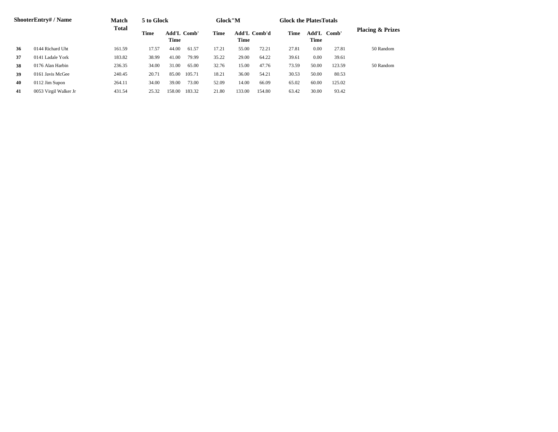| <b>ShooterEntry#/Name</b> |                       | <b>Match</b><br><b>Total</b> | 5 to Glock                         |        |                                     | Glock"M |        |                     | <b>Glock the Plates Totals</b> |                             |        |           |
|---------------------------|-----------------------|------------------------------|------------------------------------|--------|-------------------------------------|---------|--------|---------------------|--------------------------------|-----------------------------|--------|-----------|
|                           |                       |                              | Time<br><b>Add'L Comb'</b><br>Time |        | <b>Add'L Comb'd</b><br>Time<br>Time |         | Time   | Add'L Comb'<br>Time |                                | <b>Placing &amp; Prizes</b> |        |           |
| 36                        | 0144 Richard Uht      | 161.59                       | 17.57                              | 44.00  | 61.57                               | 17.21   | 55.00  | 72.21               | 27.81                          | 0.00                        | 27.81  | 50 Random |
| 37                        | 0141 Ladale York      | 183.82                       | 38.99                              | 41.00  | 79.99                               | 35.22   | 29.00  | 64.22               | 39.61                          | 0.00                        | 39.61  |           |
| 38                        | 0176 Alan Harbin      | 236.35                       | 34.00                              | 31.00  | 65.00                               | 32.76   | 15.00  | 47.76               | 73.59                          | 50.00                       | 123.59 | 50 Random |
| 39                        | 0161 Javis McGee      | 240.45                       | 20.71                              | 85.00  | 105.71                              | 18.21   | 36.00  | 54.21               | 30.53                          | 50.00                       | 80.53  |           |
| 40                        | 0112 Jim Supon        | 264.11                       | 34.00                              | 39.00  | 73.00                               | 52.09   | 14.00  | 66.09               | 65.02                          | 60.00                       | 125.02 |           |
| 41                        | 0053 Virgil Walker Jr | 431.54                       | 25.32                              | 158.00 | 183.32                              | 21.80   | 133.00 | 154.80              | 63.42                          | 30.00                       | 93.42  |           |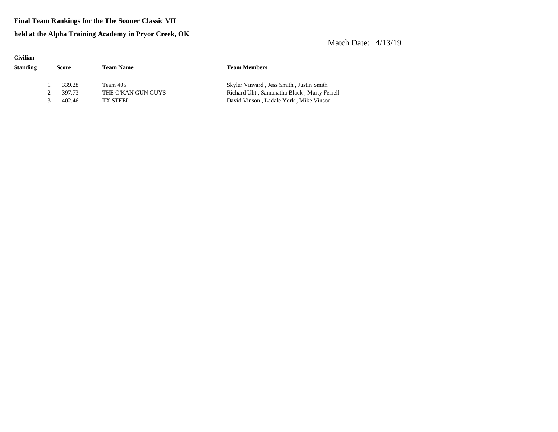#### **Final Team Rankings for the The Sooner Classic VII**

#### **held at the Alpha Training Academy in Pryor Creek, OK**

| <b>Civilian</b> |       |        |                    |                                             |
|-----------------|-------|--------|--------------------|---------------------------------------------|
| <b>Standing</b> | Score |        | <b>Team Name</b>   | <b>Team Members</b>                         |
|                 |       | 339.28 | Team 405           | Skyler Vinyard, Jess Smith, Justin Smith    |
|                 |       | 397.73 | THE O'KAN GUN GUYS | Richard Uht, Samanatha Black, Marty Ferrell |
|                 | 3     | 402.46 | TX STEEL           | David Vinson, Ladale York, Mike Vinson      |